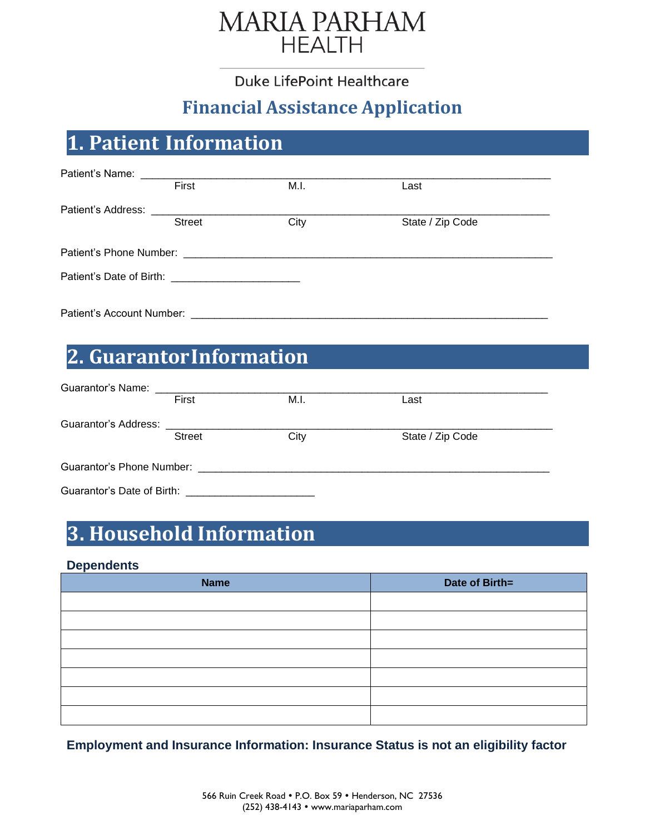

Duke LifePoint Healthcare

## **Financial Assistance Application**

# **1. Patient Information**

| Patient's Name:                                        |               |      |                  |  |
|--------------------------------------------------------|---------------|------|------------------|--|
|                                                        | First         | M.I. | Last             |  |
|                                                        |               |      |                  |  |
|                                                        | <b>Street</b> | City | State / Zip Code |  |
|                                                        |               |      |                  |  |
|                                                        |               |      |                  |  |
| Patient's Date of Birth: _____________________________ |               |      |                  |  |
|                                                        |               |      |                  |  |
| Patient's Account Number:                              |               |      |                  |  |

# **2. GuarantorInformation**

|                      | First         | M.I.                                                                                          | Last             |
|----------------------|---------------|-----------------------------------------------------------------------------------------------|------------------|
| Guarantor's Address: |               |                                                                                               |                  |
|                      | <b>Street</b> | City                                                                                          | State / Zip Code |
|                      |               | Guarantor's Phone Number: Weblack and Controller and Controller and Controller and Controller |                  |
|                      |               |                                                                                               |                  |

# **3. Household Information**

## **Dependents**

| <b>Name</b> | Date of Birth= |
|-------------|----------------|
|             |                |
|             |                |
|             |                |
|             |                |
|             |                |
|             |                |
|             |                |

**Employment and Insurance Information: Insurance Status is not an eligibility factor**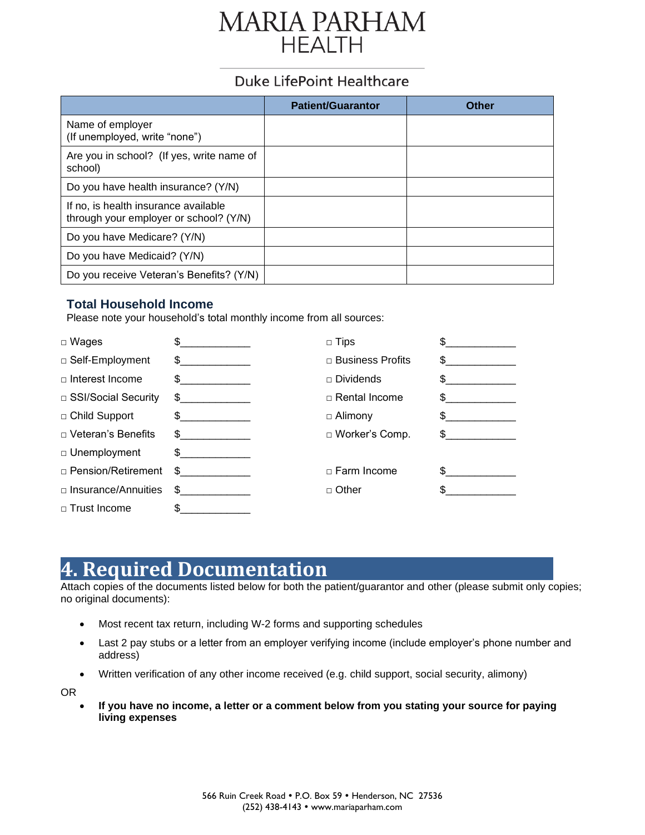# **MARIA PARHAM HEALTH**

## Duke LifePoint Healthcare

|                                                                                | <b>Patient/Guarantor</b> | Other |
|--------------------------------------------------------------------------------|--------------------------|-------|
| Name of employer<br>(If unemployed, write "none")                              |                          |       |
| Are you in school? (If yes, write name of<br>school)                           |                          |       |
| Do you have health insurance? (Y/N)                                            |                          |       |
| If no, is health insurance available<br>through your employer or school? (Y/N) |                          |       |
| Do you have Medicare? (Y/N)                                                    |                          |       |
| Do you have Medicaid? (Y/N)                                                    |                          |       |
| Do you receive Veteran's Benefits? (Y/N)                                       |                          |       |

## **Total Household Income**

Please note your household's total monthly income from all sources:

| $\Box$ Wages               |                                                     | $\Box$ Tips          |  |
|----------------------------|-----------------------------------------------------|----------------------|--|
| □ Self-Employment          | \$.<br>the control of the control of the control of | □ Business Profits   |  |
| $\Box$ Interest Income     | SS.                                                 | $\Box$ Dividends     |  |
| □ SSI/Social Security      | SS.<br>the control of the control of the control of | $\Box$ Rental Income |  |
| □ Child Support            | $\frac{1}{2}$                                       | $\Box$ Alimony       |  |
| $\Box$ Veteran's Benefits  | \$                                                  | □ Worker's Comp.     |  |
| □ Unemployment             | \$<br>the control of the control of the control of  |                      |  |
| □ Pension/Retirement       | S.                                                  | $\Box$ Farm Income   |  |
| $\Box$ Insurance/Annuities | \$.                                                 | □ Other              |  |
| $\Box$ Trust Income        | \$                                                  |                      |  |

# **4. Required Documentation**

Attach copies of the documents listed below for both the patient/guarantor and other (please submit only copies; no original documents):

- Most recent tax return, including W-2 forms and supporting schedules
- Last 2 pay stubs or a letter from an employer verifying income (include employer's phone number and address)
- Written verification of any other income received (e.g. child support, social security, alimony)

OR

• **If you have no income, a letter or a comment below from you stating your source for paying living expenses**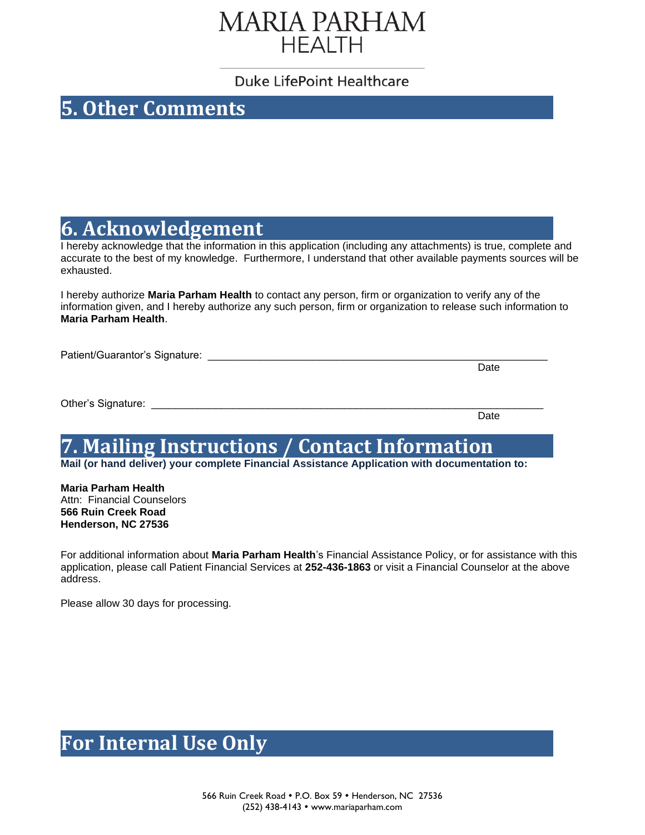# **MARIA PARHAM HEALTH**

## Duke LifePoint Healthcare

## **5. Other Comments**

## **6. Acknowledgement**

I hereby acknowledge that the information in this application (including any attachments) is true, complete and accurate to the best of my knowledge. Furthermore, I understand that other available payments sources will be exhausted.

I hereby authorize **Maria Parham Health** to contact any person, firm or organization to verify any of the information given, and I hereby authorize any such person, firm or organization to release such information to **Maria Parham Health**.

Patient/Guarantor's Signature:

Date

Other's Signature: \_\_\_\_\_\_\_\_\_\_\_\_\_\_\_\_\_\_\_\_\_\_\_\_\_\_\_\_\_\_\_\_\_\_\_\_\_\_\_\_\_\_\_\_\_\_\_\_\_\_\_\_\_\_\_\_\_\_\_\_\_\_\_\_\_\_\_

Date

# **7. Mailing Instructions / Contact Information**

**Mail (or hand deliver) your complete Financial Assistance Application with documentation to:**

**Maria Parham Health** Attn: Financial Counselors **566 Ruin Creek Road Henderson, NC 27536**

For additional information about **Maria Parham Health**'s Financial Assistance Policy, or for assistance with this application, please call Patient Financial Services at **252-436-1863** or visit a Financial Counselor at the above address.

Please allow 30 days for processing.

## **For Internal Use Only**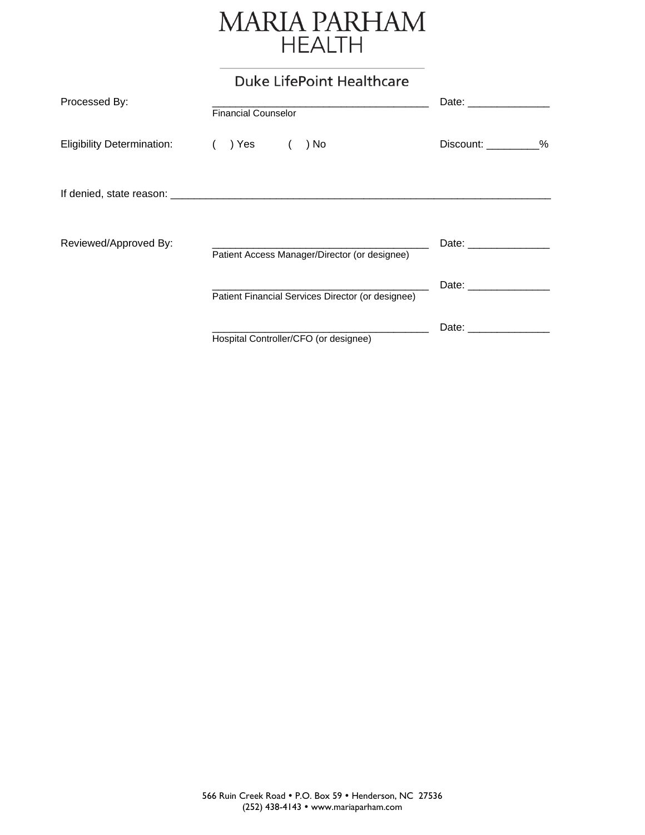# MARIA PARHAM

## **Duke LifePoint Healthcare**

| Processed By:                     | <b>Financial Counselor</b>                        | Date: the contract of the contract of the contract of the contract of the contract of the contract of the contract of the contract of the contract of the contract of the contract of the contract of the contract of the cont |
|-----------------------------------|---------------------------------------------------|--------------------------------------------------------------------------------------------------------------------------------------------------------------------------------------------------------------------------------|
| <b>Eligibility Determination:</b> | ) Yes<br>) No                                     | Discount: _________%                                                                                                                                                                                                           |
|                                   |                                                   |                                                                                                                                                                                                                                |
| Reviewed/Approved By:             | Patient Access Manager/Director (or designee)     |                                                                                                                                                                                                                                |
|                                   | Patient Financial Services Director (or designee) |                                                                                                                                                                                                                                |
|                                   | Hospital Controller/CFO (or designee)             | Date: the contract of the contract of the contract of the contract of the contract of the contract of the contract of the contract of the contract of the contract of the contract of the contract of the contract of the cont |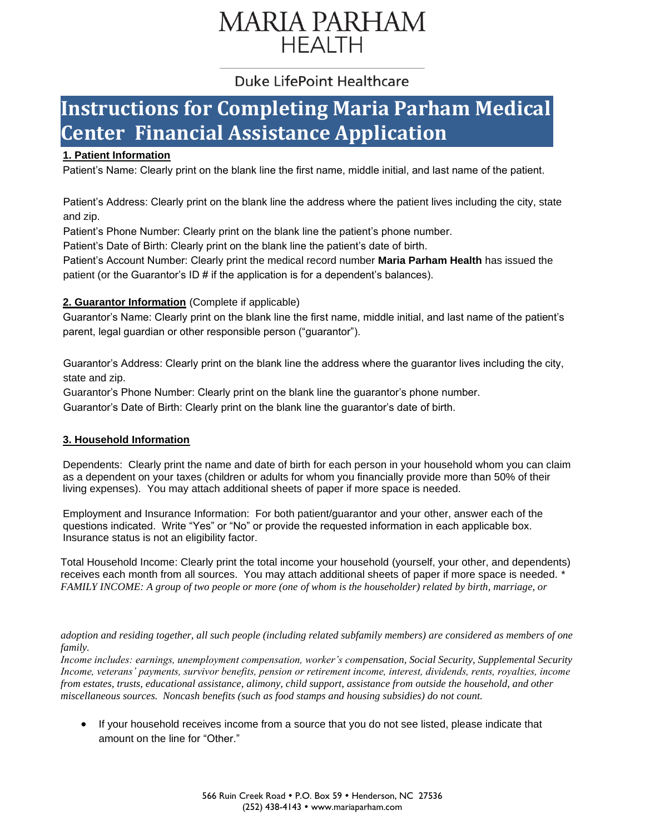# **MARIA PARHAM HEALTH**

## Duke LifePoint Healthcare

# **Instructions for Completing Maria Parham Medical Center Financial Assistance Application**

## **1. Patient Information**

<mark>1. Patient Information</mark><br>Patient's Name: Clearly print on the blank line the first name, middle initial, and last name of the patient.

Patient's Address: Clearly print on the blank line the address where the patient lives including the city, state and zip.

Patient's Phone Number: Clearly print on the blank line the patient's phone number.

Patient's Date of Birth: Clearly print on the blank line the patient's date of birth.

Patient's Account Number: Clearly print the medical record number **Maria Parham Health** has issued the patient (or the Guarantor's  $ID \#$  if the application is for a dependent's balances).

### **2. Guarantor Information** (Complete if applicable)

Guarantor's Name: Clearly print on the blank line the first name, middle initial, and last name of the patient's parent, legal guardian or other responsible person ("guarantor").

Guarantor's Address: Clearly print on the blank line the address where the guarantor lives including the city, state and zip.

Guarantor's Phone Number: Clearly print on the blank line the guarantor's phone number.

Guarantor's Date of Birth: Clearly print on the blank line the guarantor's date of birth.

### **3. Household Information**

Dependents: Clearly print the name and date of birth for each person in your household whom you can claim as a dependent on your taxes (children or adults for whom you financially provide more than 50% of their living expenses). You may attach additional sheets of paper if more space is needed.

Employment and Insurance Information: For both patient/guarantor and your other, answer each of the questions indicated. Write "Yes" or "No" or provide the requested information in each applicable box. Insurance status is not an eligibility factor.

Total Household Income: Clearly print the total income your household (yourself, your other, and dependents) receives each month from all sources. You may attach additional sheets of paper if more space is needed. \* *FAMILY INCOME: A group of two people or more (one of whom is the householder) related by birth, marriage, or*

*adoption and residing together, all such people (including related subfamily members) are considered as members of one family.*

*Income includes: earnings, unemployment compensation, worker's compensation, Social Security, Supplemental Security Income, veterans' payments, survivor benefits, pension or retirement income, interest, dividends, rents, royalties, income from estates, trusts, educational assistance, alimony, child support, assistance from outside the household, and other miscellaneous sources. Noncash benefits (such as food stamps and housing subsidies) do not count.*

• If your household receives income from a source that you do not see listed, please indicate that amount on the line for "Other."